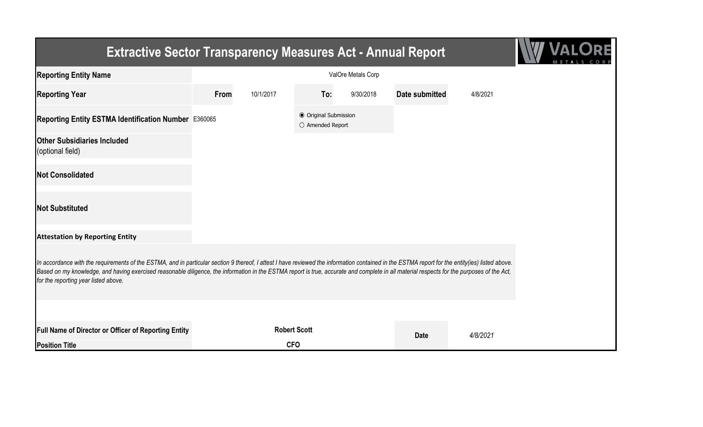| <b>Extractive Sector Transparency Measures Act - Annual Report</b>                                                                                                                                                                                                                                                                                                                                                                    |      |                     |                                           |           |                       |          |  |
|---------------------------------------------------------------------------------------------------------------------------------------------------------------------------------------------------------------------------------------------------------------------------------------------------------------------------------------------------------------------------------------------------------------------------------------|------|---------------------|-------------------------------------------|-----------|-----------------------|----------|--|
| <b>Reporting Entity Name</b>                                                                                                                                                                                                                                                                                                                                                                                                          |      |                     |                                           |           |                       |          |  |
| <b>Reporting Year</b>                                                                                                                                                                                                                                                                                                                                                                                                                 | From | 10/1/2017           | To:                                       | 9/30/2018 | <b>Date submitted</b> | 4/8/2021 |  |
| Reporting Entity ESTMA Identification Number E360065                                                                                                                                                                                                                                                                                                                                                                                  |      |                     | ● Original Submission<br>O Amended Report |           |                       |          |  |
| <b>Other Subsidiaries Included</b><br>(optional field)                                                                                                                                                                                                                                                                                                                                                                                |      |                     |                                           |           |                       |          |  |
| <b>Not Consolidated</b>                                                                                                                                                                                                                                                                                                                                                                                                               |      |                     |                                           |           |                       |          |  |
| <b>Not Substituted</b>                                                                                                                                                                                                                                                                                                                                                                                                                |      |                     |                                           |           |                       |          |  |
| <b>Attestation by Reporting Entity</b>                                                                                                                                                                                                                                                                                                                                                                                                |      |                     |                                           |           |                       |          |  |
| In accordance with the requirements of the ESTMA, and in particular section 9 thereof, I attest I have reviewed the information contained in the ESTMA report for the entity(ies) listed above.<br>Based on my knowledge, and having exercised reasonable diligence, the information in the ESTMA report is true, accurate and complete in all material respects for the purposes of the Act,<br>for the reporting year listed above. |      |                     |                                           |           |                       |          |  |
|                                                                                                                                                                                                                                                                                                                                                                                                                                       |      |                     |                                           |           |                       |          |  |
| <b>Full Name of Director or Officer of Reporting Entity</b>                                                                                                                                                                                                                                                                                                                                                                           |      | <b>Robert Scott</b> |                                           |           | <b>Date</b>           | 4/8/2021 |  |
| <b>Position Title</b>                                                                                                                                                                                                                                                                                                                                                                                                                 |      | <b>CFO</b>          |                                           |           |                       |          |  |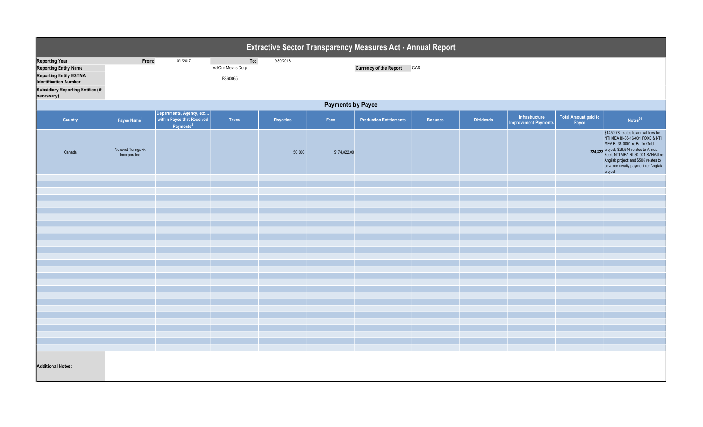|                                                                                                                                                                                  | Extractive Sector Transparency Measures Act - Annual Report |                                                   |                                      |           |              |                                |                |                  |                                               |                                      |                                                                                                                                                                                                                                                                                          |  |
|----------------------------------------------------------------------------------------------------------------------------------------------------------------------------------|-------------------------------------------------------------|---------------------------------------------------|--------------------------------------|-----------|--------------|--------------------------------|----------------|------------------|-----------------------------------------------|--------------------------------------|------------------------------------------------------------------------------------------------------------------------------------------------------------------------------------------------------------------------------------------------------------------------------------------|--|
| <b>Reporting Year</b><br><b>Reporting Entity Name</b><br><b>Reporting Entity ESTMA</b><br><b>Identification Number</b><br><b>Subsidiary Reporting Entities (if</b><br>necessary) | From:                                                       | 10/1/2017                                         | To:<br>ValOre Metals Corp<br>E360065 | 9/30/2018 |              | <b>Currency of the Report</b>  | CAD            |                  |                                               |                                      |                                                                                                                                                                                                                                                                                          |  |
|                                                                                                                                                                                  | <b>Payments by Payee</b>                                    |                                                   |                                      |           |              |                                |                |                  |                                               |                                      |                                                                                                                                                                                                                                                                                          |  |
| Country                                                                                                                                                                          | Payee Name <sup>1</sup>                                     | Departments, Agency, etc<br>Payments <sup>2</sup> | <b>Taxes</b>                         | Royalties | Fees         | <b>Production Entitlements</b> | <b>Bonuses</b> | <b>Dividends</b> | Infrastructure<br><b>Improvement Payments</b> | <b>Total Amount paid to</b><br>Payee | Notes <sup>34</sup>                                                                                                                                                                                                                                                                      |  |
| Canada                                                                                                                                                                           | Nunavut Tunngavik<br>Incorporated                           |                                                   |                                      | 50,000    | \$174,822.00 |                                |                |                  |                                               |                                      | \$145,278 relates to annual fees for<br>NTI MEA BI-35-16-001 FOXE & NTI<br>MEA BI-35-0001 re:Baffin Gold<br>224,822 project; \$29,544 relates to Annual<br>Fee's NTI MEA RI-30-001 SANAJI re:<br>Angilak project; and \$50K relates to<br>advance royalty payment re: Angilak<br>project |  |
|                                                                                                                                                                                  |                                                             |                                                   |                                      |           |              |                                |                |                  |                                               |                                      |                                                                                                                                                                                                                                                                                          |  |
|                                                                                                                                                                                  |                                                             |                                                   |                                      |           |              |                                |                |                  |                                               |                                      |                                                                                                                                                                                                                                                                                          |  |
|                                                                                                                                                                                  |                                                             |                                                   |                                      |           |              |                                |                |                  |                                               |                                      |                                                                                                                                                                                                                                                                                          |  |
|                                                                                                                                                                                  |                                                             |                                                   |                                      |           |              |                                |                |                  |                                               |                                      |                                                                                                                                                                                                                                                                                          |  |
|                                                                                                                                                                                  |                                                             |                                                   |                                      |           |              |                                |                |                  |                                               |                                      |                                                                                                                                                                                                                                                                                          |  |
|                                                                                                                                                                                  |                                                             |                                                   |                                      |           |              |                                |                |                  |                                               |                                      |                                                                                                                                                                                                                                                                                          |  |
|                                                                                                                                                                                  |                                                             |                                                   |                                      |           |              |                                |                |                  |                                               |                                      |                                                                                                                                                                                                                                                                                          |  |
|                                                                                                                                                                                  |                                                             |                                                   |                                      |           |              |                                |                |                  |                                               |                                      |                                                                                                                                                                                                                                                                                          |  |
|                                                                                                                                                                                  |                                                             |                                                   |                                      |           |              |                                |                |                  |                                               |                                      |                                                                                                                                                                                                                                                                                          |  |
|                                                                                                                                                                                  |                                                             |                                                   |                                      |           |              |                                |                |                  |                                               |                                      |                                                                                                                                                                                                                                                                                          |  |
|                                                                                                                                                                                  |                                                             |                                                   |                                      |           |              |                                |                |                  |                                               |                                      |                                                                                                                                                                                                                                                                                          |  |
|                                                                                                                                                                                  |                                                             |                                                   |                                      |           |              |                                |                |                  |                                               |                                      |                                                                                                                                                                                                                                                                                          |  |
|                                                                                                                                                                                  |                                                             |                                                   |                                      |           |              |                                |                |                  |                                               |                                      |                                                                                                                                                                                                                                                                                          |  |
|                                                                                                                                                                                  |                                                             |                                                   |                                      |           |              |                                |                |                  |                                               |                                      |                                                                                                                                                                                                                                                                                          |  |
|                                                                                                                                                                                  |                                                             |                                                   |                                      |           |              |                                |                |                  |                                               |                                      |                                                                                                                                                                                                                                                                                          |  |
|                                                                                                                                                                                  |                                                             |                                                   |                                      |           |              |                                |                |                  |                                               |                                      |                                                                                                                                                                                                                                                                                          |  |
|                                                                                                                                                                                  |                                                             |                                                   |                                      |           |              |                                |                |                  |                                               |                                      |                                                                                                                                                                                                                                                                                          |  |
|                                                                                                                                                                                  |                                                             |                                                   |                                      |           |              |                                |                |                  |                                               |                                      |                                                                                                                                                                                                                                                                                          |  |
|                                                                                                                                                                                  |                                                             |                                                   |                                      |           |              |                                |                |                  |                                               |                                      |                                                                                                                                                                                                                                                                                          |  |
|                                                                                                                                                                                  |                                                             |                                                   |                                      |           |              |                                |                |                  |                                               |                                      |                                                                                                                                                                                                                                                                                          |  |
| <b>Additional Notes:</b>                                                                                                                                                         |                                                             |                                                   |                                      |           |              |                                |                |                  |                                               |                                      |                                                                                                                                                                                                                                                                                          |  |